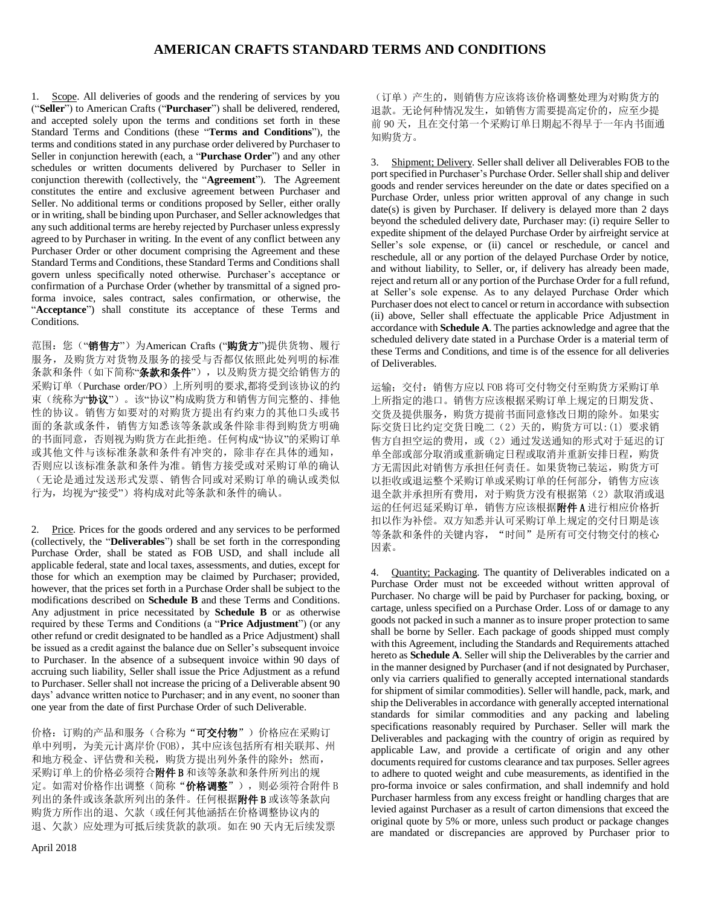1. Scope. All deliveries of goods and the rendering of services by you ("**Seller**") to American Crafts ("**Purchaser**") shall be delivered, rendered, and accepted solely upon the terms and conditions set forth in these Standard Terms and Conditions (these "**Terms and Conditions**"), the terms and conditions stated in any purchase order delivered by Purchaser to Seller in conjunction herewith (each, a "**Purchase Order**") and any other schedules or written documents delivered by Purchaser to Seller in conjunction therewith (collectively, the "**Agreement**"). The Agreement constitutes the entire and exclusive agreement between Purchaser and Seller. No additional terms or conditions proposed by Seller, either orally or in writing, shall be binding upon Purchaser, and Seller acknowledges that any such additional terms are hereby rejected by Purchaser unless expressly agreed to by Purchaser in writing. In the event of any conflict between any Purchaser Order or other document comprising the Agreement and these Standard Terms and Conditions, these Standard Terms and Conditions shall govern unless specifically noted otherwise. Purchaser's acceptance or confirmation of a Purchase Order (whether by transmittal of a signed proforma invoice, sales contract, sales confirmation, or otherwise, the "**Acceptance**") shall constitute its acceptance of these Terms and Conditions.

范围: 您("销售方")为American Crafts ("购货方")提供货物、履行 服务,及购货方对货物及服务的接受与否都仅依照此处列明的标准 条款和条件(如下简称"条款和条件"), 以及购货方提交给销售方的 采购订单(Purchase order/PO)上所列明的要求,都将受到该协议的约 束(统称为"协议")。该"协议"构成购货方和销售方间完整的、排他 性的协议。销售方如要对的对购货方提出有约束力的其他口头或书 面的条款或条件,销售方知悉该等条款或条件除非得到购货方明确 的书面同意,否则视为购货方在此拒绝。任何构成"协议"的采购订单 或其他文件与该标准条款和条件有冲突的,除非存在具体的通知, 否则应以该标准条款和条件为准。销售方接受或对采购订单的确认 (无论是通过发送形式发票、销售合同或对采购订单的确认或类似 行为,均视为"接受")将构成对此等条款和条件的确认。

2. Price. Prices for the goods ordered and any services to be performed (collectively, the "**Deliverables**") shall be set forth in the corresponding Purchase Order, shall be stated as FOB USD, and shall include all applicable federal, state and local taxes, assessments, and duties, except for those for which an exemption may be claimed by Purchaser; provided, however, that the prices set forth in a Purchase Order shall be subject to the modifications described on **Schedule B** and these Terms and Conditions. Any adjustment in price necessitated by **Schedule B** or as otherwise required by these Terms and Conditions (a "**Price Adjustment**") (or any other refund or credit designated to be handled as a Price Adjustment) shall be issued as a credit against the balance due on Seller's subsequent invoice to Purchaser. In the absence of a subsequent invoice within 90 days of accruing such liability, Seller shall issue the Price Adjustment as a refund to Purchaser. Seller shall not increase the pricing of a Deliverable absent 90 days' advance written notice to Purchaser; and in any event, no sooner than one year from the date of first Purchase Order of such Deliverable.

价格:订购的产品和服务(合称为"可交付物")价格应在采购订 单中列明,为美元计离岸价(FOB),其中应该包括所有相关联邦、州 和地方税金、评估费和关税,购货方提出列外条件的除外;然而, 采购订单上的价格必须符合附件B和该等条款和条件所列出的规 定。如需对价格作出调整(简称"价格调整"), 则必须符合附件 B 列出的条件或该条款所列出的条件。任何根据附件 B 或该等条款向 购货方所作出的退、欠款(或任何其他涵括在价格调整协议内的 退、欠款)应处理为可抵后续货款的款项。如在 90 天内无后续发票

(订单)产生的,则销售方应该将该价格调整处理为对购货方的 退款。无论何种情况发生,如销售方需要提高定价的,应至少提 前 90 天, 且在交付第一个采购订单日期起不得早于一年内书面通 知购货方。

3. Shipment; Delivery. Seller shall deliver all Deliverables FOB to the port specified in Purchaser's Purchase Order. Seller shall ship and deliver goods and render services hereunder on the date or dates specified on a Purchase Order, unless prior written approval of any change in such date(s) is given by Purchaser. If delivery is delayed more than 2 days beyond the scheduled delivery date, Purchaser may: (i) require Seller to expedite shipment of the delayed Purchase Order by airfreight service at Seller's sole expense, or (ii) cancel or reschedule, or cancel and reschedule, all or any portion of the delayed Purchase Order by notice, and without liability, to Seller, or, if delivery has already been made, reject and return all or any portion of the Purchase Order for a full refund, at Seller's sole expense. As to any delayed Purchase Order which Purchaser does not elect to cancel or return in accordance with subsection (ii) above, Seller shall effectuate the applicable Price Adjustment in accordance with **Schedule A**. The parties acknowledge and agree that the scheduled delivery date stated in a Purchase Order is a material term of these Terms and Conditions, and time is of the essence for all deliveries of Deliverables.

运输;交付:销售方应以 FOB 将可交付物交付至购货方采购订单 上所指定的港口。销售方应该根据采购订单上规定的日期发货、 交货及提供服务,购货方提前书面同意修改日期的除外。如果实 际交货日比约定交货日晚二(2)天的,购货方可以:(1) 要求销 售方自担空运的费用,或(2)通过发送通知的形式对于延迟的订 单全部或部分取消或重新确定日程或取消并重新安排日程,购货 方无需因此对销售方承担任何责任。如果货物已装运,购货方可 以拒收或退运整个采购订单或采购订单的任何部分,销售方应该 退全款并承担所有费用,对于购货方没有根据第(2)款取消或退 运的任何迟延采购订单, 销售方应该根据附件 A 进行相应价格折 扣以作为补偿。双方知悉并认可采购订单上规定的交付日期是该 等条款和条件的关键内容, "时间"是所有可交付物交付的核心 因素。

4. Quantity; Packaging. The quantity of Deliverables indicated on a Purchase Order must not be exceeded without written approval of Purchaser. No charge will be paid by Purchaser for packing, boxing, or cartage, unless specified on a Purchase Order. Loss of or damage to any goods not packed in such a manner as to insure proper protection to same shall be borne by Seller. Each package of goods shipped must comply with this Agreement, including the Standards and Requirements attached hereto as **Schedule A**. Seller will ship the Deliverables by the carrier and in the manner designed by Purchaser (and if not designated by Purchaser, only via carriers qualified to generally accepted international standards for shipment of similar commodities). Seller will handle, pack, mark, and ship the Deliverables in accordance with generally accepted international standards for similar commodities and any packing and labeling specifications reasonably required by Purchaser. Seller will mark the Deliverables and packaging with the country of origin as required by applicable Law, and provide a certificate of origin and any other documents required for customs clearance and tax purposes. Seller agrees to adhere to quoted weight and cube measurements, as identified in the pro-forma invoice or sales confirmation, and shall indemnify and hold Purchaser harmless from any excess freight or handling charges that are levied against Purchaser as a result of carton dimensions that exceed the original quote by 5% or more, unless such product or package changes are mandated or discrepancies are approved by Purchaser prior to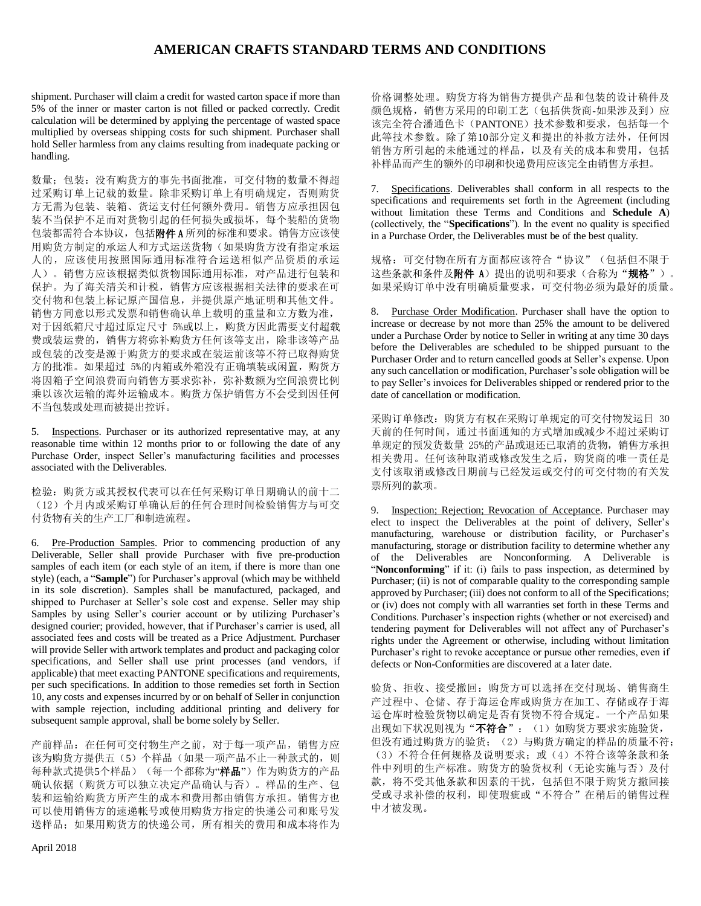shipment. Purchaser will claim a credit for wasted carton space if more than 5% of the inner or master carton is not filled or packed correctly. Credit calculation will be determined by applying the percentage of wasted space multiplied by overseas shipping costs for such shipment. Purchaser shall hold Seller harmless from any claims resulting from inadequate packing or handling.

数量;包装:没有购货方的事先书面批准,可交付物的数量不得超 过采购订单上记载的数量。除非采购订单上有明确规定,否则购货 方无需为包装、装箱、货运支付任何额外费用。销售方应承担因包 装不当保护不足而对货物引起的任何损失或损坏,每个装船的货物 包装都需符合本协议,包括附件A 所列的标准和要求。销售方应该使 用购货方制定的承运人和方式运送货物(如果购货方没有指定承运 人的,应该使用按照国际通用标准符合运送相似产品资质的承运 人)。销售方应该根据类似货物国际通用标准,对产品进行包装和 保护。为了海关清关和计税,销售方应该根据相关法律的要求在可 交付物和包装上标记原产国信息,并提供原产地证明和其他文件。 销售方同意以形式发票和销售确认单上载明的重量和立方数为准, 对于因纸箱尺寸超过原定尺寸 5%或以上,购货方因此需要支付超载 费或装运费的,销售方将弥补购货方任何该等支出,除非该等产品 或包装的改变是源于购货方的要求或在装运前该等不符已取得购货 方的批准。如果超过 5%的内箱或外箱没有正确填装或闲置,购货方 将因箱子空间浪费而向销售方要求弥补,弥补数额为空间浪费比例 乘以该次运输的海外运输成本。购货方保护销售方不会受到因任何 不当包装或处理而被提出控诉。

5. Inspections. Purchaser or its authorized representative may, at any reasonable time within 12 months prior to or following the date of any Purchase Order, inspect Seller's manufacturing facilities and processes associated with the Deliverables.

检验:购货方或其授权代表可以在任何采购订单日期确认的前十二 (12)个月内或采购订单确认后的任何合理时间检验销售方与可交 付货物有关的生产工厂和制造流程。

6. Pre-Production Samples. Prior to commencing production of any Deliverable, Seller shall provide Purchaser with five pre-production samples of each item (or each style of an item, if there is more than one style) (each, a "**Sample**") for Purchaser's approval (which may be withheld in its sole discretion). Samples shall be manufactured, packaged, and shipped to Purchaser at Seller's sole cost and expense. Seller may ship Samples by using Seller's courier account or by utilizing Purchaser's designed courier; provided, however, that if Purchaser's carrier is used, all associated fees and costs will be treated as a Price Adjustment. Purchaser will provide Seller with artwork templates and product and packaging color specifications, and Seller shall use print processes (and vendors, if applicable) that meet exacting PANTONE specifications and requirements, per such specifications. In addition to those remedies set forth in Section [10,](#page-2-0) any costs and expenses incurred by or on behalf of Seller in conjunction with sample rejection, including additional printing and delivery for subsequent sample approval, shall be borne solely by Seller.

产前样品:在任何可交付物生产之前,对于每一项产品,销售方应 该为购货方提供五(5)个样品(如果一项产品不止一种款式的,则 每种款式提供5个样品)(每一个都称为"样品")作为购货方的产品 确认依据(购货方可以独立决定产品确认与否)。样品的生产、包 装和运输给购货方所产生的成本和费用都由销售方承担。销售方也 可以使用销售方的速递帐号或使用购货方指定的快递公司和账号发 送样品;如果用购货方的快递公司,所有相关的费用和成本将作为

价格调整处理。购货方将为销售方提供产品和包装的设计稿件及 颜色规格,销售方采用的印刷工艺(包括供货商-如果涉及到)应 该完全符合潘通色卡(PANTONE)技术参数和要求,包括每一个 此等技术参数。除了第10部分定义和提出的补救方法外,任何因 销售方所引起的未能通过的样品,以及有关的成本和费用,包括 补样品而产生的额外的印刷和快递费用应该完全由销售方承担。

7. Specifications. Deliverables shall conform in all respects to the specifications and requirements set forth in the Agreement (including without limitation these Terms and Conditions and **Schedule A**) (collectively, the "**Specifications**"). In the event no quality is specified in a Purchase Order, the Deliverables must be of the best quality.

规格: 可交付物在所有方面都应该符合"协议"(包括但不限于 这些条款和条件及附件 A)提出的说明和要求(合称为"规格")。 如果采购订单中没有明确质量要求,可交付物必须为最好的质量。

8. Purchase Order Modification. Purchaser shall have the option to increase or decrease by not more than 25% the amount to be delivered under a Purchase Order by notice to Seller in writing at any time 30 days before the Deliverables are scheduled to be shipped pursuant to the Purchaser Order and to return cancelled goods at Seller's expense. Upon any such cancellation or modification, Purchaser's sole obligation will be to pay Seller's invoices for Deliverables shipped or rendered prior to the date of cancellation or modification.

采购订单修改:购货方有权在采购订单规定的可交付物发运日 30 天前的任何时间,通过书面通知的方式增加或减少不超过采购订 单规定的预发货数量 25%的产品或退还已取消的货物,销售方承担 相关费用。任何该种取消或修改发生之后,购货商的唯一责任是 支付该取消或修改日期前与已经发运或交付的可交付物的有关发 票所列的款项。

9. Inspection; Rejection; Revocation of Acceptance. Purchaser may elect to inspect the Deliverables at the point of delivery, Seller's manufacturing, warehouse or distribution facility, or Purchaser's manufacturing, storage or distribution facility to determine whether any of the Deliverables are Nonconforming. A Deliverable is "**Nonconforming**" if it: (i) fails to pass inspection, as determined by Purchaser; (ii) is not of comparable quality to the corresponding sample approved by Purchaser; (iii) does not conform to all of the Specifications; or (iv) does not comply with all warranties set forth in these Terms and Conditions. Purchaser's inspection rights (whether or not exercised) and tendering payment for Deliverables will not affect any of Purchaser's rights under the Agreement or otherwise, including without limitation Purchaser's right to revoke acceptance or pursue other remedies, even if defects or Non-Conformities are discovered at a later date.

验货、拒收、接受撤回:购货方可以选择在交付现场、销售商生 产过程中、仓储、存于海运仓库或购货方在加工、存储或存于海 运仓库时检验货物以确定是否有货物不符合规定。一个产品如果 出现如下状况则视为"不符合": (1) 如购货方要求实施验货, 但没有通过购货方的验货;(2)与购货方确定的样品的质量不符; (3)不符合任何规格及说明要求;或(4)不符合该等条款和条 件中列明的生产标准。购货方的验货权利(无论实施与否)及付 款,将不受其他条款和因素的干扰,包括但不限于购货方撤回接 受或寻求补偿的权利,即使瑕疵或"不符合"在稍后的销售过程 中才被发现。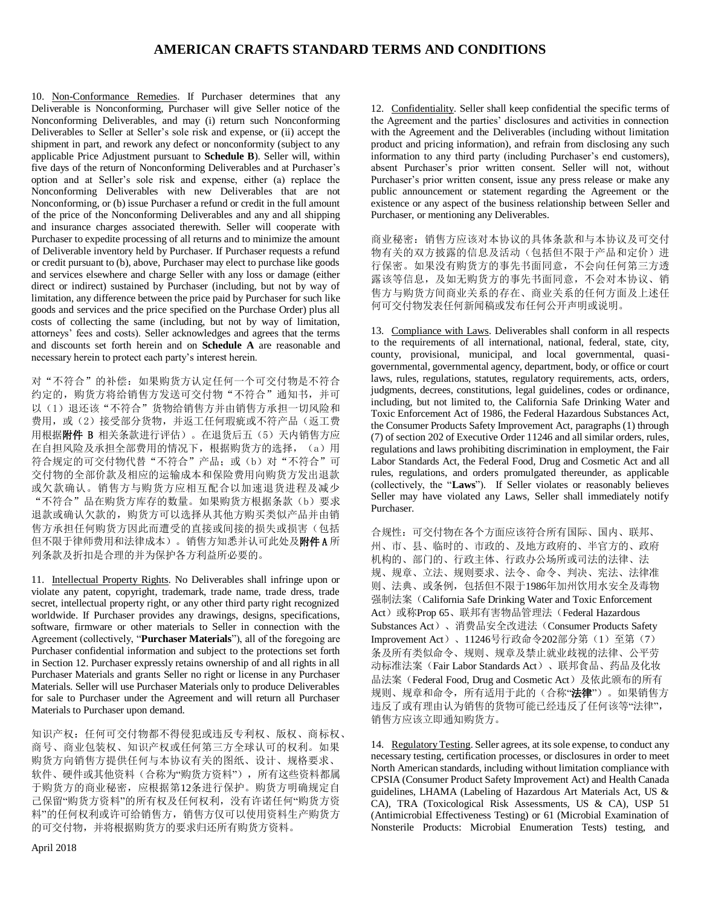<span id="page-2-0"></span>10. Non-Conformance Remedies. If Purchaser determines that any Deliverable is Nonconforming, Purchaser will give Seller notice of the Nonconforming Deliverables, and may (i) return such Nonconforming Deliverables to Seller at Seller's sole risk and expense, or (ii) accept the shipment in part, and rework any defect or nonconformity (subject to any applicable Price Adjustment pursuant to **Schedule B**). Seller will, within five days of the return of Nonconforming Deliverables and at Purchaser's option and at Seller's sole risk and expense, either (a) replace the Nonconforming Deliverables with new Deliverables that are not Nonconforming, or (b) issue Purchaser a refund or credit in the full amount of the price of the Nonconforming Deliverables and any and all shipping and insurance charges associated therewith. Seller will cooperate with Purchaser to expedite processing of all returns and to minimize the amount of Deliverable inventory held by Purchaser. If Purchaser requests a refund or credit pursuant to (b), above, Purchaser may elect to purchase like goods and services elsewhere and charge Seller with any loss or damage (either direct or indirect) sustained by Purchaser (including, but not by way of limitation, any difference between the price paid by Purchaser for such like goods and services and the price specified on the Purchase Order) plus all costs of collecting the same (including, but not by way of limitation, attorneys' fees and costs). Seller acknowledges and agrees that the terms and discounts set forth herein and on **Schedule A** are reasonable and necessary herein to protect each party's interest herein.

对"不符合"的补偿: 如果购货方认定任何一个可交付物是不符合 约定的,购货方将给销售方发送可交付物"不符合"通知书,并可 以(1)退还该"不符合"货物给销售方并由销售方承担一切风险和 费用, 或(2)接受部分货物, 并返工任何瑕疵或不符产品(返工费 用根据附件 B 相关条款进行评估)。在退货后五(5)天内销售方应 在自担风险及承担全部费用的情况下, 根据购货方的选择, (a) 用 符合规定的可交付物代替"不符合"产品;或(b)对"不符合"可 交付物的全部价款及相应的运输成本和保险费用向购货方发出退款 或欠款确认。销售方与购货方应相互配合以加速退货进程及减少 "不符合"品在购货方库存的数量。如果购货方根据条款(b)要求 退款或确认欠款的,购货方可以选择从其他方购买类似产品并由销 售方承担任何购货方因此而遭受的直接或间接的损失或损害(包括 但不限于律师费用和法律成本)。销售方知悉并认可此处及附件A 所 列条款及折扣是合理的并为保护各方利益所必要的。

11. Intellectual Property Rights. No Deliverables shall infringe upon or violate any patent, copyright, trademark, trade name, trade dress, trade secret, intellectual property right, or any other third party right recognized worldwide. If Purchaser provides any drawings, designs, specifications, software, firmware or other materials to Seller in connection with the Agreement (collectively, "**Purchaser Materials**"), all of the foregoing are Purchaser confidential information and subject to the protections set forth in Section [12.](#page-2-1) Purchaser expressly retains ownership of and all rights in all Purchaser Materials and grants Seller no right or license in any Purchaser Materials. Seller will use Purchaser Materials only to produce Deliverables for sale to Purchaser under the Agreement and will return all Purchaser Materials to Purchaser upon demand.

知识产权: 任何可交付物都不得侵犯或违反专利权、版权、商标权、 商号、商业包装权、知识产权或任何第三方全球认可的权利。如果 购货方向销售方提供任何与本协议有关的图纸、设计、规格要求、 软件、硬件或其他资料(合称为"购货方资料"),所有这些资料都属 于购货方的商业秘密,应根据第12条进行保护。购货方明确规定自 己保留"购货方资料"的所有权及任何权利,没有许诺任何"购货方资 料"的任何权利或许可给销售方,销售方仅可以使用资料生产购货方 的可交付物,并将根据购货方的要求归还所有购货方资料。

<span id="page-2-1"></span>12. Confidentiality. Seller shall keep confidential the specific terms of the Agreement and the parties' disclosures and activities in connection with the Agreement and the Deliverables (including without limitation product and pricing information), and refrain from disclosing any such information to any third party (including Purchaser's end customers), absent Purchaser's prior written consent. Seller will not, without Purchaser's prior written consent, issue any press release or make any public announcement or statement regarding the Agreement or the existence or any aspect of the business relationship between Seller and Purchaser, or mentioning any Deliverables.

商业秘密:销售方应该对本协议的具体条款和与本协议及可交付 物有关的双方披露的信息及活动(包括但不限于产品和定价)进 行保密。如果没有购货方的事先书面同意,不会向任何第三方透 露该等信息,及如无购货方的事先书面同意,不会对本协议、销 售方与购货方间商业关系的存在、商业关系的任何方面及上述任 何可交付物发表任何新闻稿或发布任何公开声明或说明。

13. Compliance with Laws. Deliverables shall conform in all respects to the requirements of all international, national, federal, state, city, county, provisional, municipal, and local governmental, quasigovernmental, governmental agency, department, body, or office or court laws, rules, regulations, statutes, regulatory requirements, acts, orders, judgments, decrees, constitutions, legal guidelines, codes or ordinance, including, but not limited to, the California Safe Drinking Water and Toxic Enforcement Act of 1986, the Federal Hazardous Substances Act, the Consumer Products Safety Improvement Act, paragraphs (1) through (7) of section 202 of Executive Order 11246 and all similar orders, rules, regulations and laws prohibiting discrimination in employment, the Fair Labor Standards Act, the Federal Food, Drug and Cosmetic Act and all rules, regulations, and orders promulgated thereunder, as applicable (collectively, the "**Laws**"). If Seller violates or reasonably believes Seller may have violated any Laws, Seller shall immediately notify Purchaser.

合规性:可交付物在各个方面应该符合所有国际、国内、联邦、 州、市、县、临时的、市政的、及地方政府的、半官方的、政府 机构的、部门的、行政主体、行政办公场所或司法的法律、法 规、规章、立法、规则要求、法令、命令、判决、宪法、法律准 则、法典、或条例,包括但不限于1986年加州饮用水安全及毒物 强制法案 (California Safe Drinking Water and Toxic Enforcement Act)或称Prop 65、联邦有害物品管理法(Federal Hazardous Substances Act)、消费品安全改进法(Consumer Products Safety Improvement Act)、11246号行政命令202部分第(1)至第(7) 条及所有类似命令、规则、规章及禁止就业歧视的法律、公平劳 动标准法案(Fair Labor Standards Act)、联邦食品、药品及化妆 品法案(Federal Food, Drug and Cosmetic Act)及依此颁布的所有 规则、规章和命令,所有适用于此的(合称"法律")。如果销售方 违反了或有理由认为销售的货物可能已经违反了任何该等"法律", 销售方应该立即通知购货方。

14. Regulatory Testing. Seller agrees, at its sole expense, to conduct any necessary testing, certification processes, or disclosures in order to meet North American standards, including without limitation compliance with CPSIA (Consumer Product Safety Improvement Act) and Health Canada guidelines, LHAMA (Labeling of Hazardous Art Materials Act, US & CA), TRA (Toxicological Risk Assessments, US & CA), USP 51 (Antimicrobial Effectiveness Testing) or 61 (Microbial Examination of Nonsterile Products: Microbial Enumeration Tests) testing, and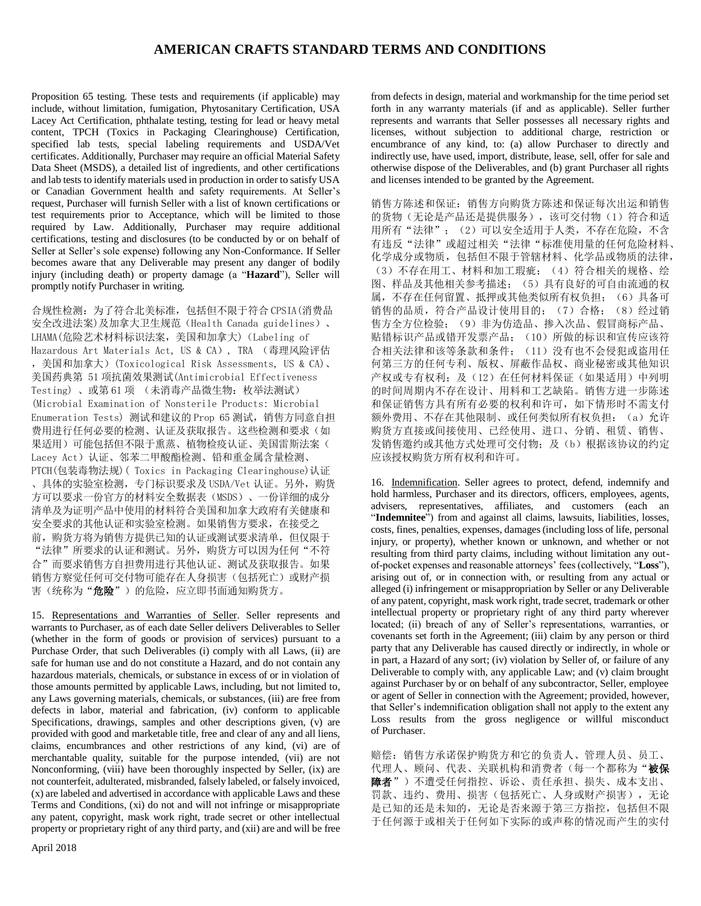Proposition 65 testing. These tests and requirements (if applicable) may include, without limitation, fumigation, Phytosanitary Certification, USA Lacey Act Certification, phthalate testing, testing for lead or heavy metal content, TPCH (Toxics in Packaging Clearinghouse) Certification, specified lab tests, special labeling requirements and USDA/Vet certificates. Additionally, Purchaser may require an official Material Safety Data Sheet (MSDS), a detailed list of ingredients, and other certifications and lab tests to identify materials used in production in order to satisfy USA or Canadian Government health and safety requirements. At Seller's request, Purchaser will furnish Seller with a list of known certifications or test requirements prior to Acceptance, which will be limited to those required by Law. Additionally, Purchaser may require additional certifications, testing and disclosures (to be conducted by or on behalf of Seller at Seller's sole expense) following any Non-Conformance. If Seller becomes aware that any Deliverable may present any danger of bodily injury (including death) or property damage (a "**Hazard**"), Seller will promptly notify Purchaser in writing.

合规性检测:为了符合北美标准,包括但不限于符合 CPSIA(消费品 安全改进法案)及加拿大卫生规范(Health Canada guidelines)、 LHAMA(危险艺术材料标识法案,美国和加拿大)(Labeling of Hazardous Art Materials Act, US & CA), TRA (毒理风险评估 ,美国和加拿大)(Toxicological Risk Assessments, US & CA)、 美国药典第 51 项抗菌效果测试(Antimicrobial Effectiveness Testing) 、或第 61 项 (未消毒产品微生物:枚举法测试) (Microbial Examination of Nonsterile Products: Microbial Enumeration Tests) 测试和建议的 Prop 65 测试,销售方同意自担 费用进行任何必要的检测、认证及获取报告。这些检测和要求(如 果适用)可能包括但不限于熏蒸、植物检疫认证、美国雷斯法案( Lacey Act)认证、邻苯二甲酸酯检测、铅和重金属含量检测、 PTCH(包装毒物法规)( Toxics in Packaging Clearinghouse)认证 、具体的实验室检测,专门标识要求及 USDA/Vet 认证。另外,购货 方可以要求一份官方的材料安全数据表(MSDS)、一份详细的成分 清单及为证明产品中使用的材料符合美国和加拿大政府有关健康和 安全要求的其他认证和实验室检测。如果销售方要求,在接受之 前,购货方将为销售方提供已知的认证或测试要求清单,但仅限于 "法律"所要求的认证和测试。另外,购货方可以因为任何"不符 合"而要求销售方自担费用进行其他认证、测试及获取报告。如果 销售方察觉任何可交付物可能存在人身损害(包括死亡)或财产损 害(统称为"危险")的危险,应立即书面通知购货方。

15. Representations and Warranties of Seller. Seller represents and warrants to Purchaser, as of each date Seller delivers Deliverables to Seller (whether in the form of goods or provision of services) pursuant to a Purchase Order, that such Deliverables (i) comply with all Laws, (ii) are safe for human use and do not constitute a Hazard, and do not contain any hazardous materials, chemicals, or substance in excess of or in violation of those amounts permitted by applicable Laws, including, but not limited to, any Laws governing materials, chemicals, or substances, (iii) are free from defects in labor, material and fabrication, (iv) conform to applicable Specifications, drawings, samples and other descriptions given, (v) are provided with good and marketable title, free and clear of any and all liens, claims, encumbrances and other restrictions of any kind, (vi) are of merchantable quality, suitable for the purpose intended, (vii) are not Nonconforming, (viii) have been thoroughly inspected by Seller, (ix) are not counterfeit, adulterated, misbranded, falsely labeled, or falsely invoiced, (x) are labeled and advertised in accordance with applicable Laws and these Terms and Conditions, (xi) do not and will not infringe or misappropriate any patent, copyright, mask work right, trade secret or other intellectual property or proprietary right of any third party, and (xii) are and will be free

from defects in design, material and workmanship for the time period set forth in any warranty materials (if and as applicable). Seller further represents and warrants that Seller possesses all necessary rights and licenses, without subjection to additional charge, restriction or encumbrance of any kind, to: (a) allow Purchaser to directly and indirectly use, have used, import, distribute, lease, sell, offer for sale and otherwise dispose of the Deliverables, and (b) grant Purchaser all rights and licenses intended to be granted by the Agreement.

销售方陈述和保证:销售方向购货方陈述和保证每次出运和销售 的货物(无论是产品还是提供服务),该可交付物(1)符合和适 用所有"法律"; (2)可以安全适用于人类,不存在危险,不含 有违反"法律"或超过相关"法律"标准使用量的任何危险材料、 化学成分或物质,包括但不限于管辖材料、化学品或物质的法律, (3)不存在用工、材料和加工瑕疵;(4)符合相关的规格、绘 图、样品及其他相关参考描述;(5)具有良好的可自由流通的权 属,不存在任何留置、抵押或其他类似所有权负担;(6)具备可 销售的品质,符合产品设计使用目的;(7)合格;(8)经过销 售方全方位检验;(9)非为仿造品、掺入次品、假冒商标产品、 贴错标识产品或错开发票产品;(10)所做的标识和宣传应该符 合相关法律和该等条款和条件;(11)没有也不会侵犯或盗用任 何第三方的任何专利、版权、屏蔽作品权、商业秘密或其他知识 产权或专有权利;及(12)在任何材料保证(如果适用)中列明 的时间周期内不存在设计、用料和工艺缺陷。销售方进一步陈述 和保证销售方具有所有必要的权利和许可,如下情形时不需支付 额外费用、不存在其他限制、或任何类似所有权负担: (a) 允许 购货方直接或间接使用、已经使用、进口、分销、租赁、销售、 发销售激约或其他方式处理可交付物;及(b)根据该协议的约定 应该授权购货方所有权利和许可。

16. Indemnification. Seller agrees to protect, defend, indemnify and hold harmless, Purchaser and its directors, officers, employees, agents, advisers, representatives, affiliates, and customers (each an "Indemnitee<sup>"</sup>) from and against all claims, lawsuits, liabilities, losses, costs, fines, penalties, expenses, damages (including loss of life, personal injury, or property), whether known or unknown, and whether or not resulting from third party claims, including without limitation any outof-pocket expenses and reasonable attorneys' fees (collectively, "**Loss**"), arising out of, or in connection with, or resulting from any actual or alleged (i) infringement or misappropriation by Seller or any Deliverable of any patent, copyright, mask work right, trade secret, trademark or other intellectual property or proprietary right of any third party wherever located; (ii) breach of any of Seller's representations, warranties, or covenants set forth in the Agreement; (iii) claim by any person or third party that any Deliverable has caused directly or indirectly, in whole or in part, a Hazard of any sort; (iv) violation by Seller of, or failure of any Deliverable to comply with, any applicable Law; and (v) claim brought against Purchaser by or on behalf of any subcontractor, Seller, employee or agent of Seller in connection with the Agreement; provided, however, that Seller's indemnification obligation shall not apply to the extent any Loss results from the gross negligence or willful misconduct of Purchaser.

赔偿: 销售方承诺保护购货方和它的负责人、管理人员、员工、 代理人、顾问、代表、关联机构和消费者(每一个都称为"被保 障者")不遭受任何指控、诉讼、责任承担、损失、成本支出、 罚款、违约、费用、损害(包括死亡、人身或财产损害),无论 是已知的还是未知的,无论是否来源于第三方指控,包括但不限 于任何源于或相关于任何如下实际的或声称的情况而产生的实付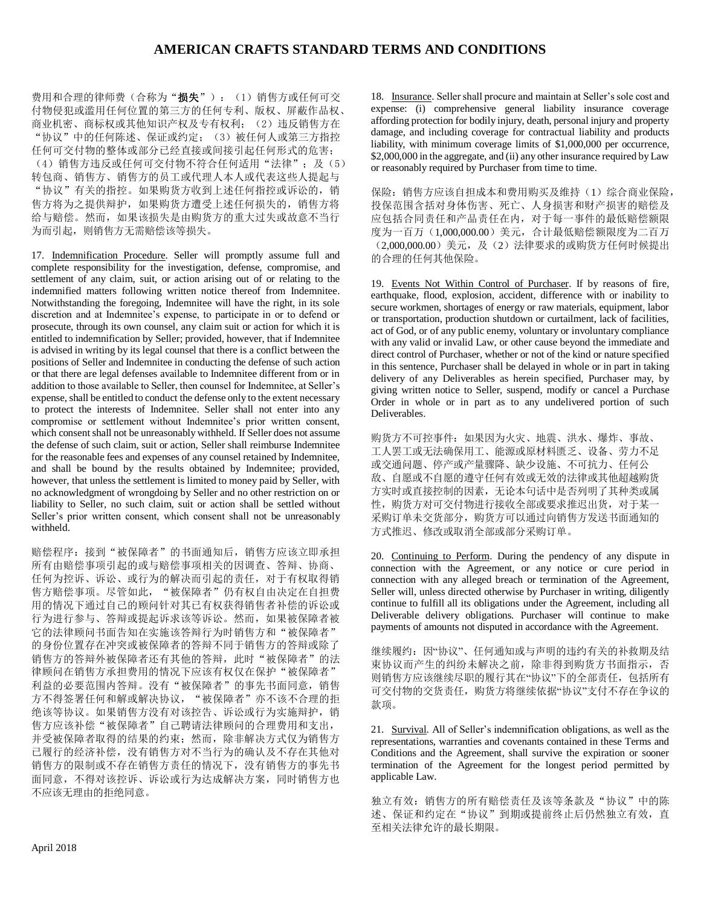费用和合理的律师费(合称为"损失"): (1)销售方或任何可交 付物侵犯或滥用任何位置的第三方的任何专利、版权、屏蔽作品权、 商业机密、商标权或其他知识产权及专有权利; (2)违反销售方在 "协议"中的任何陈述、保证或约定;(3)被任何人或第三方指控 任何可交付物的整体或部分已经直接或间接引起任何形式的危害; (4) 销售方违反或任何可交付物不符合任何适用"法律";及(5) 转包商、销售方、销售方的员工或代理人本人或代表这些人提起与 "协议"有关的指控。如果购货方收到上述任何指控或诉讼的,销 售方将为之提供辩护,如果购货方遭受上述任何损失的,销售方将 给与赔偿。然而,如果该损失是由购货方的重大过失或故意不当行 为而引起, 则销售方无需赔偿该等损失。

17. Indemnification Procedure. Seller will promptly assume full and complete responsibility for the investigation, defense, compromise, and settlement of any claim, suit, or action arising out of or relating to the indemnified matters following written notice thereof from Indemnitee. Notwithstanding the foregoing, Indemnitee will have the right, in its sole discretion and at Indemnitee's expense, to participate in or to defend or prosecute, through its own counsel, any claim suit or action for which it is entitled to indemnification by Seller; provided, however, that if Indemnitee is advised in writing by its legal counsel that there is a conflict between the positions of Seller and Indemnitee in conducting the defense of such action or that there are legal defenses available to Indemnitee different from or in addition to those available to Seller, then counsel for Indemnitee, at Seller's expense, shall be entitled to conduct the defense only to the extent necessary to protect the interests of Indemnitee. Seller shall not enter into any compromise or settlement without Indemnitee's prior written consent, which consent shall not be unreasonably withheld. If Seller does not assume the defense of such claim, suit or action, Seller shall reimburse Indemnitee for the reasonable fees and expenses of any counsel retained by Indemnitee, and shall be bound by the results obtained by Indemnitee; provided, however, that unless the settlement is limited to money paid by Seller, with no acknowledgment of wrongdoing by Seller and no other restriction on or liability to Seller, no such claim, suit or action shall be settled without Seller's prior written consent, which consent shall not be unreasonably withheld.

赔偿程序:接到"被保障者"的书面通知后,销售方应该立即承担 所有由赔偿事项引起的或与赔偿事项相关的因调查、答辩、协商、 任何为控诉、诉讼、或行为的解决而引起的责任,对于有权取得销 售方赔偿事项。尽管如此, "被保障者"仍有权自由决定在自担费 用的情况下通过自己的顾问针对其已有权获得销售者补偿的诉讼或 行为进行参与、答辩或提起诉求该等诉讼。然而,如果被保障者被 它的法律顾问书面告知在实施该答辩行为时销售方和"被保障者" 的身份位置存在冲突或被保障者的答辩不同于销售方的答辩或除了 销售方的答辩外被保障者还有其他的答辩,此时"被保障者"的法 律顾问在销售方承担费用的情况下应该有权仅在保护"被保障者" 利益的必要范围内答辩。没有"被保障者"的事先书面同意,销售 方不得签署任何和解或解决协议, "被保障者"亦不该不合理的拒 绝该等协议。如果销售方没有对该控告、诉讼或行为实施辩护,销 售方应该补偿"被保障者"自己聘请法律顾问的合理费用和支出, 并受被保障者取得的结果的约束;然而,除非解决方式仅为销售方 已履行的经济补偿,没有销售方对不当行为的确认及不存在其他对 销售方的限制或不存在销售方责任的情况下,没有销售方的事先书 面同意,不得对该控诉、诉讼或行为达成解决方案,同时销售方也 不应该无理由的拒绝同意。

18. Insurance. Seller shall procure and maintain at Seller's sole cost and expense: (i) comprehensive general liability insurance coverage affording protection for bodily injury, death, personal injury and property damage, and including coverage for contractual liability and products liability, with minimum coverage limits of \$1,000,000 per occurrence, \$2,000,000 in the aggregate, and (ii) any other insurance required by Law or reasonably required by Purchaser from time to time.

保险:销售方应该自担成本和费用购买及维持(1)综合商业保险, 投保范围含括对身体伤害、死亡、人身损害和财产损害的赔偿及 应包括合同责任和产品责任在内,对于每一事件的最低赔偿额限 度为一百万(1,000,000.00)美元,合计最低赔偿额限度为二百万 (2,000,000.00)美元,及(2)法律要求的或购货方任何时候提出 的合理的任何其他保险。

19. Events Not Within Control of Purchaser. If by reasons of fire, earthquake, flood, explosion, accident, difference with or inability to secure workmen, shortages of energy or raw materials, equipment, labor or transportation, production shutdown or curtailment, lack of facilities, act of God, or of any public enemy, voluntary or involuntary compliance with any valid or invalid Law, or other cause beyond the immediate and direct control of Purchaser, whether or not of the kind or nature specified in this sentence, Purchaser shall be delayed in whole or in part in taking delivery of any Deliverables as herein specified, Purchaser may, by giving written notice to Seller, suspend, modify or cancel a Purchase Order in whole or in part as to any undelivered portion of such Deliverables.

购货方不可控事件:如果因为火灾、地震、洪水、爆炸、事故、 工人罢工或无法确保用工、能源或原材料匮乏、设备、劳力不足 或交通问题、停产或产量骤降、缺少设施、不可抗力、任何公 敌、自愿或不自愿的遵守任何有效或无效的法律或其他超越购货 方实时或直接控制的因素,无论本句话中是否列明了其种类或属 性,购货方对可交付物进行接收全部或要求推迟出货,对于某一 采购订单未交货部分,购货方可以通过向销售方发送书面通知的 方式推迟、修改或取消全部或部分采购订单。

20. Continuing to Perform. During the pendency of any dispute in connection with the Agreement, or any notice or cure period in connection with any alleged breach or termination of the Agreement, Seller will, unless directed otherwise by Purchaser in writing, diligently continue to fulfill all its obligations under the Agreement, including all Deliverable delivery obligations. Purchaser will continue to make payments of amounts not disputed in accordance with the Agreement.

继续履约:因"协议"、任何通知或与声明的违约有关的补救期及结 束协议而产生的纠纷未解决之前,除非得到购货方书面指示,否 则销售方应该继续尽职的履行其在"协议"下的全部责任,包括所有 可交付物的交货责任,购货方将继续依据"协议"支付不存在争议的 款项。

21. Survival. All of Seller's indemnification obligations, as well as the representations, warranties and covenants contained in these Terms and Conditions and the Agreement, shall survive the expiration or sooner termination of the Agreement for the longest period permitted by applicable Law.

独立有效: 销售方的所有赔偿责任及该等条款及"协议"中的陈 述、保证和约定在"协议"到期或提前终止后仍然独立有效,直 至相关法律允许的最长期限。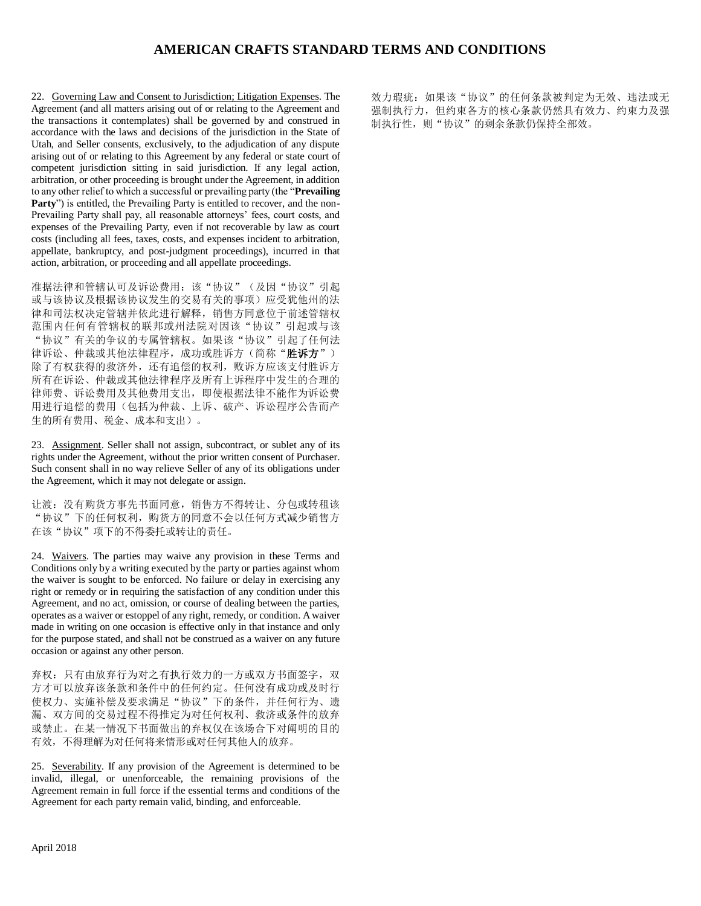22. Governing Law and Consent to Jurisdiction; Litigation Expenses. The Agreement (and all matters arising out of or relating to the Agreement and the transactions it contemplates) shall be governed by and construed in accordance with the laws and decisions of the jurisdiction in the State of Utah, and Seller consents, exclusively, to the adjudication of any dispute arising out of or relating to this Agreement by any federal or state court of competent jurisdiction sitting in said jurisdiction. If any legal action, arbitration, or other proceeding is brought under the Agreement, in addition to any other relief to which a successful or prevailing party (the "**Prevailing Party**") is entitled, the Prevailing Party is entitled to recover, and the non-Prevailing Party shall pay, all reasonable attorneys' fees, court costs, and expenses of the Prevailing Party, even if not recoverable by law as court costs (including all fees, taxes, costs, and expenses incident to arbitration, appellate, bankruptcy, and post-judgment proceedings), incurred in that action, arbitration, or proceeding and all appellate proceedings.

准据法律和管辖认可及诉讼费用:该"协议"(及因"协议"引起 或与该协议及根据该协议发生的交易有关的事项)应受犹他州的法 律和司法权决定管辖并依此进行解释,销售方同意位于前述管辖权 范围内任何有管辖权的联邦或州法院对因该"协议"引起或与该 "协议"有关的争议的专属管辖权。如果该"协议"引起了任何法 律诉讼、仲裁或其他法律程序,成功或胜诉方(简称"胜诉方") 除了有权获得的救济外,还有追偿的权利,败诉方应该支付胜诉方 所有在诉讼、仲裁或其他法律程序及所有上诉程序中发生的合理的 律师费、诉讼费用及其他费用支出,即使根据法律不能作为诉讼费 用进行追偿的费用(包括为仲裁、上诉、破产、诉讼程序公告而产 生的所有费用、税金、成本和支出)。

23. Assignment. Seller shall not assign, subcontract, or sublet any of its rights under the Agreement, without the prior written consent of Purchaser. Such consent shall in no way relieve Seller of any of its obligations under the Agreement, which it may not delegate or assign.

让渡:没有购货方事先书面同意,销售方不得转让、分包或转租该 "协议"下的任何权利,购货方的同意不会以任何方式减少销售方 在该"协议"项下的不得委托或转让的责任。

24. Waivers. The parties may waive any provision in these Terms and Conditions only by a writing executed by the party or parties against whom the waiver is sought to be enforced. No failure or delay in exercising any right or remedy or in requiring the satisfaction of any condition under this Agreement, and no act, omission, or course of dealing between the parties, operates as a waiver or estoppel of any right, remedy, or condition. A waiver made in writing on one occasion is effective only in that instance and only for the purpose stated, and shall not be construed as a waiver on any future occasion or against any other person.

弃权:只有由放弃行为对之有执行效力的一方或双方书面签字, 双 方才可以放弃该条款和条件中的任何约定。任何没有成功或及时行 使权力、实施补偿及要求满足"协议"下的条件,并任何行为、遗 漏、双方间的交易过程不得推定为对任何权利、救济或条件的放弃 或禁止。在某一情况下书面做出的弃权仅在该场合下对阐明的目的 有效,不得理解为对任何将来情形或对任何其他人的放弃。

25. Severability. If any provision of the Agreement is determined to be invalid, illegal, or unenforceable, the remaining provisions of the Agreement remain in full force if the essential terms and conditions of the Agreement for each party remain valid, binding, and enforceable.

效力瑕疵: 如果该"协议"的任何条款被判定为无效、违法或无 强制执行力,但约束各方的核心条款仍然具有效力、约束力及强 制执行性,则"协议"的剩余条款仍保持全部效。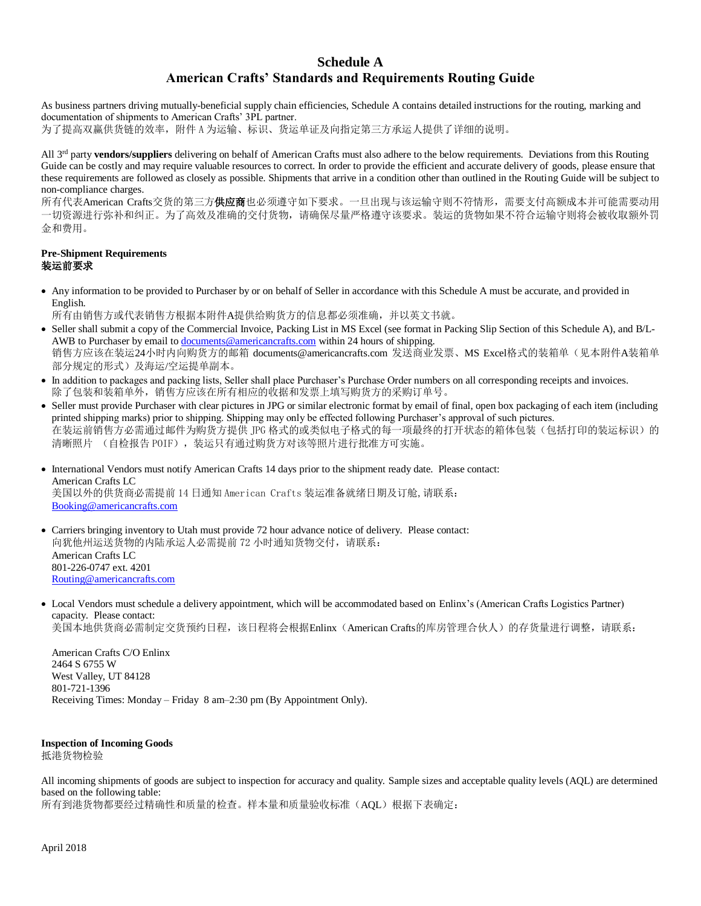# **Schedule A American Crafts' Standards and Requirements Routing Guide**

As business partners driving mutually-beneficial supply chain efficiencies, Schedule A contains detailed instructions for the routing, marking and documentation of shipments to American Crafts' 3PL partner.

为了提高双赢供货链的效率,附件 A 为运输、标识、货运单证及向指定第三方承运人提供了详细的说明。

All 3rd party **vendors/suppliers** delivering on behalf of American Crafts must also adhere to the below requirements. Deviations from this Routing Guide can be costly and may require valuable resources to correct. In order to provide the efficient and accurate delivery of goods, please ensure that these requirements are followed as closely as possible. Shipments that arrive in a condition other than outlined in the Routing Guide will be subject to non-compliance charges.

所有代表American Crafts交货的第三方**供应商**也必须遵守如下要求。一旦出现与该运输守则不符情形,需要支付高额成本并可能需要动用 一切资源进行弥补和纠正。为了高效及准确的交付货物,请确保尽量严格遵守该要求。装运的货物如果不符合运输守则将会被收取额外罚 金和费用。

## **Pre-Shipment Requirements** 装运前要求

- Any information to be provided to Purchaser by or on behalf of Seller in accordance with this Schedule A must be accurate, and provided in English.
	- 所有由销售方或代表销售方根据本附件A提供给购货方的信息都必须准确,并以英文书就。
- Seller shall submit a copy of the Commercial Invoice, Packing List in MS Excel (see format in Packing Slip Section of this Schedule A), and B/LAWB to Purchaser by email t[o documents@americancrafts.com](mailto:documents@americancrafts.com) within 24 hours of shipping. 销售方应该在装运24小时内向购货方的邮箱 documents@americancrafts.com 发送商业发票、MS Excel格式的装箱单(见本附件A装箱单 部分规定的形式)及海运/空运提单副本。
- In addition to packages and packing lists, Seller shall place Purchaser's Purchase Order numbers on all corresponding receipts and invoices. 除了包装和装箱单外,销售方应该在所有相应的收据和发票上填写购货方的采购订单号。
- Seller must provide Purchaser with clear pictures in JPG or similar electronic format by email of final, open box packaging of each item (including printed shipping marks) prior to shipping. Shipping may only be effected following Purchaser's approval of such pictures. 在装运前销售方必需通过邮件为购货方提供 JPG 格式的或类似电子格式的每一项最终的打开状态的箱体包装(包括打印的装运标识)的 清晰照片 (自检报告 POIF), 装运只有通过购货方对该等照片进行批准方可实施。
- International Vendors must notify American Crafts 14 days prior to the shipment ready date. Please contact: American Crafts LC 美国以外的供货商必需提前 14 日通知 American Crafts 装运准备就绪日期及订舱,请联系: [Booking@americancrafts.com](mailto:Booking@americancrafts.com)
- Carriers bringing inventory to Utah must provide 72 hour advance notice of delivery. Please contact: 向犹他州运送货物的内陆承运人必需提前 72 小时通知货物交付,请联系: American Crafts LC 801-226-0747 ext. 4201 [Routing@americancrafts.com](mailto:Routing@americancrafts.com)
- Local Vendors must schedule a delivery appointment, which will be accommodated based on Enlinx's (American Crafts Logistics Partner) capacity. Please contact: 美国本地供货商必需制定交货预约日程,该日程将会根据Enlinx (American Crafts的库房管理合伙人)的存货量进行调整,请联系:

American Crafts C/O Enlinx 2464 S 6755 W West Valley, UT 84128 801-721-1396 Receiving Times: Monday – Friday 8 am–2:30 pm (By Appointment Only).

## **Inspection of Incoming Goods**

抵港货物检验

All incoming shipments of goods are subject to inspection for accuracy and quality. Sample sizes and acceptable quality levels (AQL) are determined based on the following table: 所有到港货物都要经过精确性和质量的检查。样本量和质量验收标准(AQL)根据下表确定: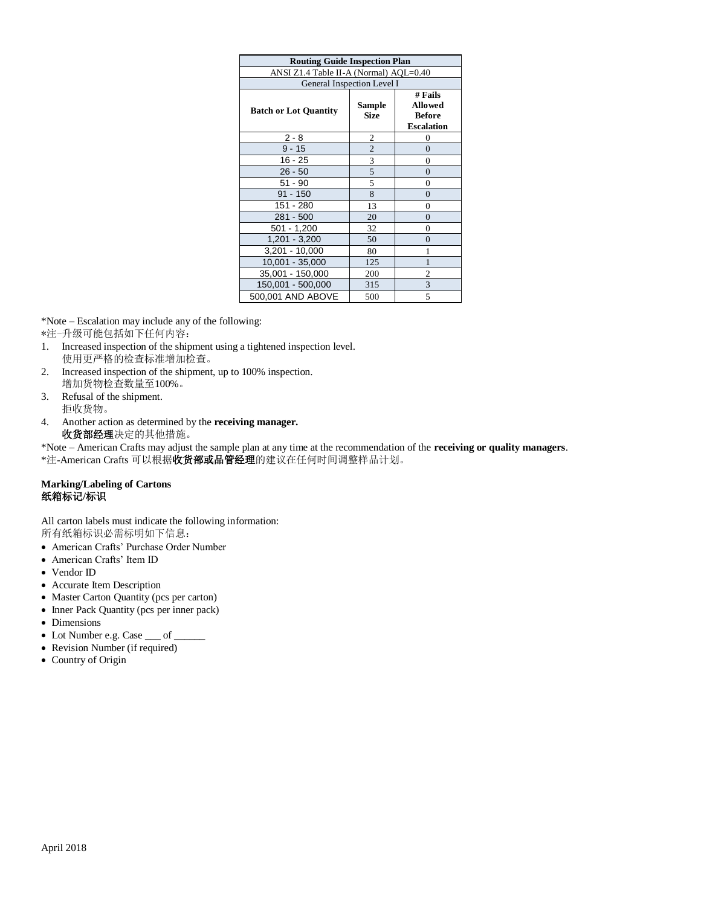| <b>Routing Guide Inspection Plan</b>   |                       |                                                                 |  |  |  |  |  |  |
|----------------------------------------|-----------------------|-----------------------------------------------------------------|--|--|--|--|--|--|
| ANSI Z1.4 Table II-A (Normal) AQL=0.40 |                       |                                                                 |  |  |  |  |  |  |
| General Inspection Level I             |                       |                                                                 |  |  |  |  |  |  |
| <b>Batch or Lot Quantity</b>           | Sample<br><b>Size</b> | # Fails<br><b>Allowed</b><br><b>Before</b><br><b>Escalation</b> |  |  |  |  |  |  |
| $2 - 8$                                | 2                     | 0                                                               |  |  |  |  |  |  |
| 9 - 15                                 | $\overline{2}$        | $\Omega$                                                        |  |  |  |  |  |  |
| $16 - 25$                              | 3                     | $\theta$                                                        |  |  |  |  |  |  |
| $26 - 50$                              | 5                     | $\overline{0}$                                                  |  |  |  |  |  |  |
| $51 - 90$                              | 5                     | $\overline{0}$                                                  |  |  |  |  |  |  |
| $91 - 150$                             | 8                     | $\overline{0}$                                                  |  |  |  |  |  |  |
| 151 - 280                              | 13                    | 0                                                               |  |  |  |  |  |  |
| 281 - 500                              | 20                    | $\Omega$                                                        |  |  |  |  |  |  |
| $501 - 1,200$                          | 32                    | $\overline{0}$                                                  |  |  |  |  |  |  |
| $1,201 - 3,200$                        | 50                    | $\overline{0}$                                                  |  |  |  |  |  |  |
| 3,201 - 10,000                         | 80                    | 1                                                               |  |  |  |  |  |  |
| 10,001 - 35,000                        | 125                   |                                                                 |  |  |  |  |  |  |
| 35,001 - 150,000                       | 200                   | 2                                                               |  |  |  |  |  |  |
| 150,001 - 500,000                      | 315                   | 3                                                               |  |  |  |  |  |  |
| 500,001 AND ABOVE                      | 500                   | 5                                                               |  |  |  |  |  |  |

\*Note – Escalation may include any of the following:

\*注-升级可能包括如下任何内容:

- 1. Increased inspection of the shipment using a tightened inspection level. 使用更严格的检查标准增加检查。
- 2. Increased inspection of the shipment, up to 100% inspection. 增加货物检查数量至100%。
- 3. Refusal of the shipment.
- 拒收货物。
- 4. Another action as determined by the **receiving manager.** 收货部经理决定的其他措施。

\*Note – American Crafts may adjust the sample plan at any time at the recommendation of the **receiving or quality managers**. \*注-American Crafts 可以根据收货部或品管经理的建议在任何时间调整样品计划。

## **Marking/Labeling of Cartons** 纸箱标记**/**标识

All carton labels must indicate the following information: 所有纸箱标识必需标明如下信息:

- American Crafts' Purchase Order Number
- American Crafts' Item ID
- Vendor ID
- Accurate Item Description
- Master Carton Quantity (pcs per carton)
- Inner Pack Quantity (pcs per inner pack)
- Dimensions
- Lot Number e.g. Case  $\rule{1em}{0.15mm}$  C
- Revision Number (if required)
- Country of Origin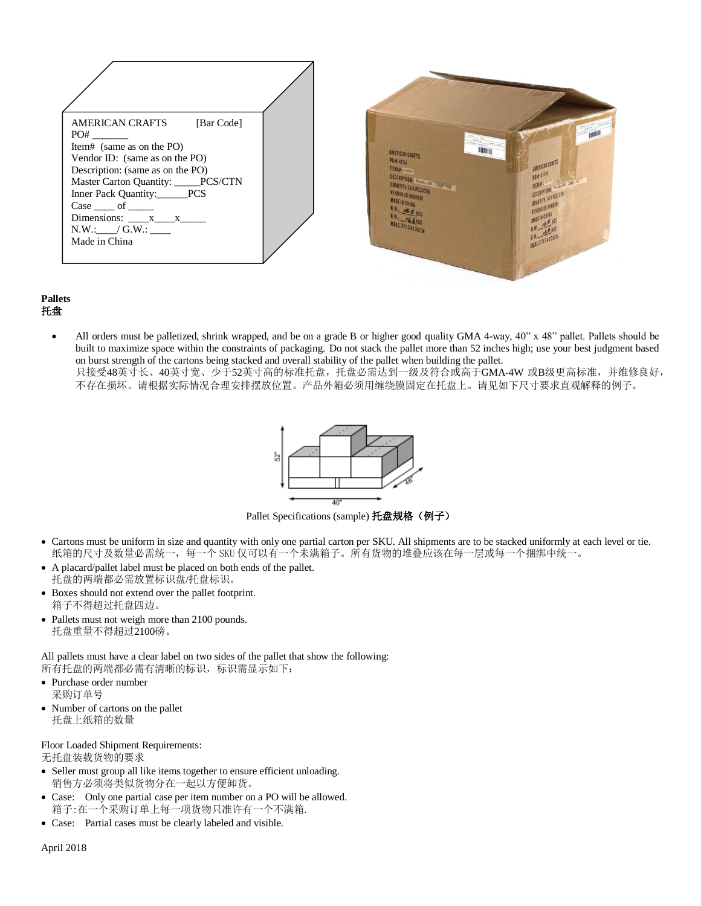| <b>AMERICAN CRAFTS</b><br>[Bar Code]<br>PO#<br>Item# (same as on the PO)<br>Vendor ID: (same as on the PO)<br>Description: (same as on the PO)<br>Master Carton Quantity: _____PCS/CTN<br>Inner Pack Quantity:______PCS<br>$Case \_\_$ of $\_\_$<br>Dimensions: $\_\_\_x\_\_\_x\_\_\_x$<br>$N.W.:$ $\Box$ $\Box$ $\Box$ $\Box$ $\Box$<br>Made in China | AMERICAN CRAFTS<br>PO# 4154<br><b>ITEM# 42479</b><br>DESCRIPTION: Ringks BK TELETHE<br>QUANTITY: 144 PCS/CTN<br>VENDOR ID. WINDION<br>MADE IN CHINA<br>N.W. 5 KGS<br>MEAS.37X34X30CM | MERICAN CRAFTS<br><b>RITINE BK LAY IN</b> |
|--------------------------------------------------------------------------------------------------------------------------------------------------------------------------------------------------------------------------------------------------------------------------------------------------------------------------------------------------------|--------------------------------------------------------------------------------------------------------------------------------------------------------------------------------------|-------------------------------------------|

#### **Pallets** 托盘

• All orders must be palletized, shrink wrapped, and be on a grade B or higher good quality GMA 4-way, 40" x 48" pallet. Pallets should be built to maximize space within the constraints of packaging. Do not stack the pallet more than 52 inches high; use your best judgment based on burst strength of the cartons being stacked and overall stability of the pallet when building the pallet. 只接受48英寸长、40英寸宽、少于52英寸高的标准托盘,托盘必需达到一级及符合或高于GMA-4W 或B级更高标准,并维修良好, 不存在损坏。请根据实际情况合理安排摆放位置。产品外箱必须用缠绕膜固定在托盘上。请见如下尺寸要求直观解释的例子。

Ř

Pallet Specifications (sample) 托盘规格(例子)

- Cartons must be uniform in size and quantity with only one partial carton per SKU. All shipments are to be stacked uniformly at each level or tie. 纸箱的尺寸及数量必需统一,每一个 SKU 仅可以有一个未满箱子。所有货物的堆叠应该在每一层或每一个捆绑中统一。
- A placard/pallet label must be placed on both ends of the pallet. 托盘的两端都必需放置标识盘/托盘标识。
- Boxes should not extend over the pallet footprint. 箱子不得超过托盘四边。
- Pallets must not weigh more than 2100 pounds. 托盘重量不得超过2100磅。

All pallets must have a clear label on two sides of the pallet that show the following: 所有托盘的两端都必需有清晰的标识,标识需显示如下:

- Purchase order number 采购订单号
- Number of cartons on the pallet 托盘上纸箱的数量

# Floor Loaded Shipment Requirements:

无托盘装载货物的要求

- Seller must group all like items together to ensure efficient unloading. 销售方必须将类似货物分在一起以方便卸货。
- Case: Only one partial case per item number on a PO will be allowed. 箱子:在一个采购订单上每一项货物只准许有一个不满箱.
- Case: Partial cases must be clearly labeled and visible.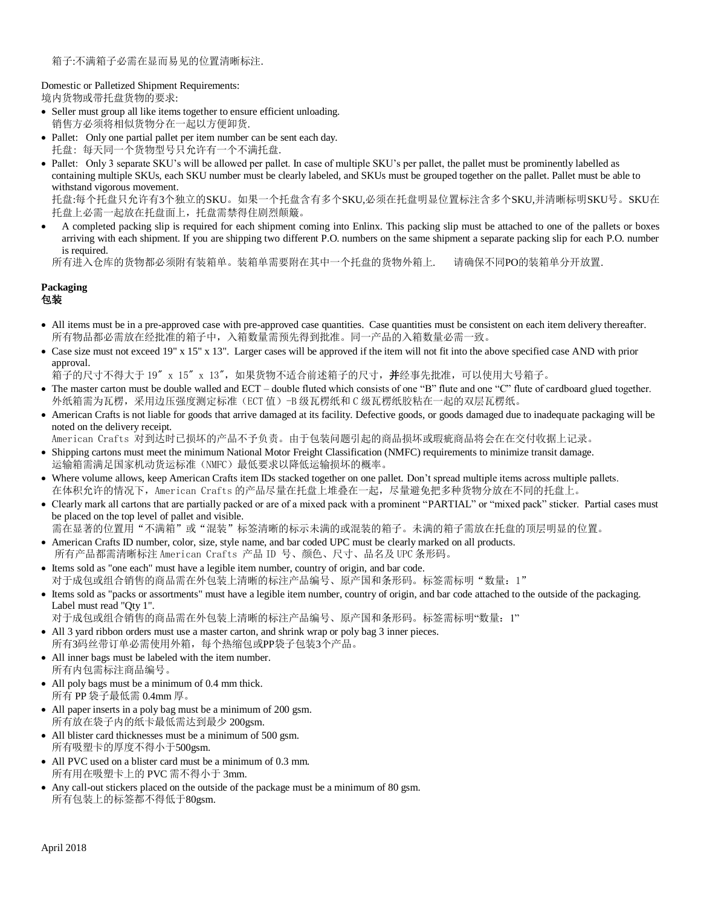Domestic or Palletized Shipment Requirements: 境内货物或带托盘货物的要求:

- Seller must group all like items together to ensure efficient unloading. 销售方必须将相似货物分在一起以方便卸货.
- Pallet: Only one partial pallet per item number can be sent each day. 托盘: 每天同一个货物型号只允许有一个不满托盘.
- Pallet: Only 3 separate SKU's will be allowed per pallet. In case of multiple SKU's per pallet, the pallet must be prominently labelled as containing multiple SKUs, each SKU number must be clearly labeled, and SKUs must be grouped together on the pallet. Pallet must be able to withstand vigorous movement.

托盘:每个托盘只允许有3个独立的SKU。如果一个托盘含有多个SKU,必须在托盘明显位置标注含多个SKU,并清晰标明SKU号。SKU在 托盘上必需一起放在托盘面上,托盘需禁得住剧烈颠簸。

• A completed packing slip is required for each shipment coming into Enlinx. This packing slip must be attached to one of the pallets or boxes arriving with each shipment. If you are shipping two different P.O. numbers on the same shipment a separate packing slip for each P.O. number is required.

```
所有进入仓库的货物都必须附有装箱单。装箱单需要附在其中一个托盘的货物外箱上. 请确保不同PO的装箱单分开放置.
```
#### **Packaging** 包装

- All items must be in a pre-approved case with pre-approved case quantities. Case quantities must be consistent on each item delivery thereafter. 所有物品都必需放在经批准的箱子中,入箱数量需预先得到批准。同一产品的入箱数量必需一致。
- Case size must not exceed 19" x 15" x 13". Larger cases will be approved if the item will not fit into the above specified case AND with prior approval.
- 箱子的尺寸不得大于 19" x 15" x 13", 如果货物不适合前述箱子的尺寸, 并经事先批准, 可以使用大号箱子。
- The master carton must be double walled and ECT double fluted which consists of one "B" flute and one "C" flute of cardboard glued together. 外纸箱需为瓦楞,采用边压强度测定标准(ECT 值)-B 级瓦楞纸和 C 级瓦楞纸胶粘在一起的双层瓦楞纸。
- American Crafts is not liable for goods that arrive damaged at its facility. Defective goods, or goods damaged due to inadequate packaging will be noted on the delivery receipt.
- American Crafts 对到达时已损坏的产品不予负责。由于包装问题引起的商品损坏或瑕疵商品将会在在交付收据上记录。
- Shipping cartons must meet the minimum National Motor Freight Classification (NMFC) requirements to minimize transit damage. 运输箱需满足国家机动货运标准(NMFC)最低要求以降低运输损坏的概率。
- Where volume allows, keep American Crafts item IDs stacked together on one pallet. Don't spread multiple items across multiple pallets. 在体积允许的情况下, American Crafts 的产品尽量在托盘上堆叠在一起, 尽量避免把多种货物分放在不同的托盘上。
- Clearly mark all cartons that are partially packed or are of a mixed pack with a prominent "PARTIAL" or "mixed pack" sticker. Partial cases must be placed on the top level of pallet and visible.
- 需在显著的位置用"不满箱"或"混装"标签清晰的标示未满的或混装的箱子。未满的箱子需放在托盘的顶层明显的位置。
- American Crafts ID number, color, size, style name, and bar coded UPC must be clearly marked on all products. 所有产品都需清晰标注 American Crafts 产品 ID 号、颜色、尺寸、品名及 UPC 条形码。
- Items sold as "one each" must have a legible item number, country of origin, and bar code. 对于成包或组合销售的商品需在外包装上清晰的标注产品编号、原产国和条形码。标签需标明"数量:1"
- Items sold as "packs or assortments" must have a legible item number, country of origin, and bar code attached to the outside of the packaging. Label must read "Qty 1".
- 对于成包或组合销售的商品需在外包装上清晰的标注产品编号、原产国和条形码。标签需标明"数量:1"
- All 3 yard ribbon orders must use a master carton, and shrink wrap or poly bag 3 inner pieces. 所有3码丝带订单必需使用外箱,每个热缩包或PP袋子包装3个产品。
- All inner bags must be labeled with the item number. 所有内包需标注商品编号。
- All poly bags must be a minimum of 0.4 mm thick. 所有 PP 袋子最低需 0.4mm 厚。
- All paper inserts in a poly bag must be a minimum of 200 gsm. 所有放在袋子内的纸卡最低需达到最少 200gsm.
- All blister card thicknesses must be a minimum of 500 gsm. 所有吸塑卡的厚度不得小于500gsm.
- All PVC used on a blister card must be a minimum of 0.3 mm. 所有用在吸塑卡上的 PVC 需不得小于 3mm.
- Any call-out stickers placed on the outside of the package must be a minimum of 80 gsm. 所有包装上的标签都不得低于80gsm.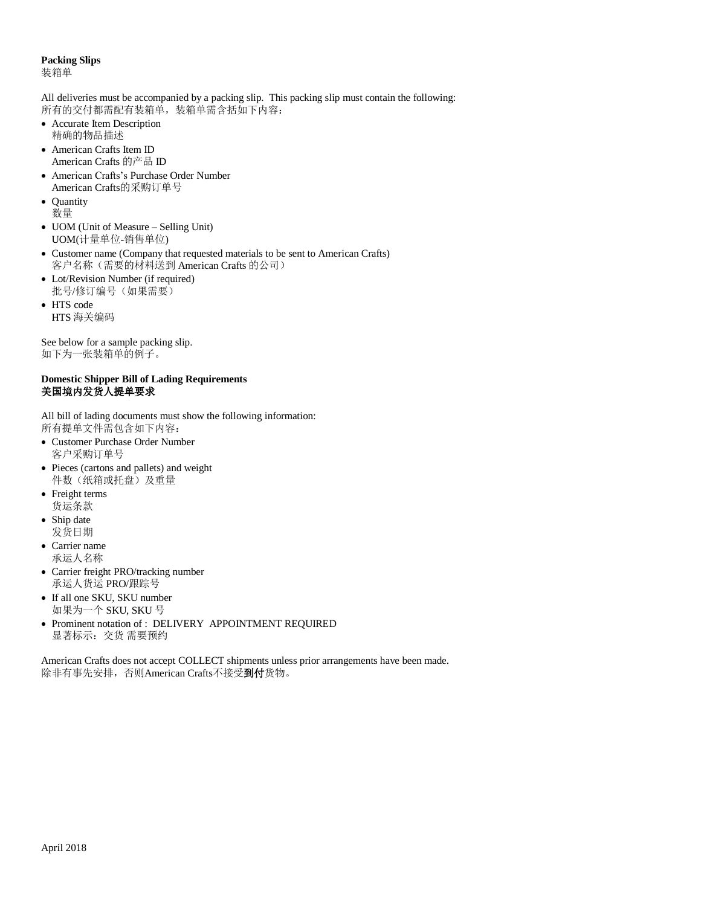#### **Packing Slips**  装箱单

All deliveries must be accompanied by a packing slip. This packing slip must contain the following: 所有的交付都需配有装箱单,装箱单需含括如下内容:

- Accurate Item Description 精确的物品描述
- American Crafts Item ID American Crafts 的产品 ID
- American Crafts's Purchase Order Number American Crafts的采购订单号
- Quantity 数量
- UOM (Unit of Measure Selling Unit) UOM(计量单位-销售单位)
- Customer name (Company that requested materials to be sent to American Crafts) 客户名称(需要的材料送到 American Crafts 的公司)
- Lot/Revision Number (if required) 批号/修订编号(如果需要)
- HTS code HTS 海关编码

See below for a sample packing slip. 如下为一张装箱单的例子。

## **Domestic Shipper Bill of Lading Requirements** 美国境内发货人提单要求

All bill of lading documents must show the following information: 所有提单文件需包含如下内容:

- Customer Purchase Order Number 客户采购订单号
- Pieces (cartons and pallets) and weight 件数(纸箱或托盘)及重量
- Freight terms 货运条款
- Ship date 发货日期
- Carrier name 承运人名称
- Carrier freight PRO/tracking number 承运人货运 PRO/跟踪号
- If all one SKU, SKU number 如果为一个 SKU, SKU 号
- Prominent notation of : DELIVERY APPOINTMENT REQUIRED 显著标示:交货 需要预约

American Crafts does not accept COLLECT shipments unless prior arrangements have been made. 除非有事先安排,否则American Crafts不接受到付货物。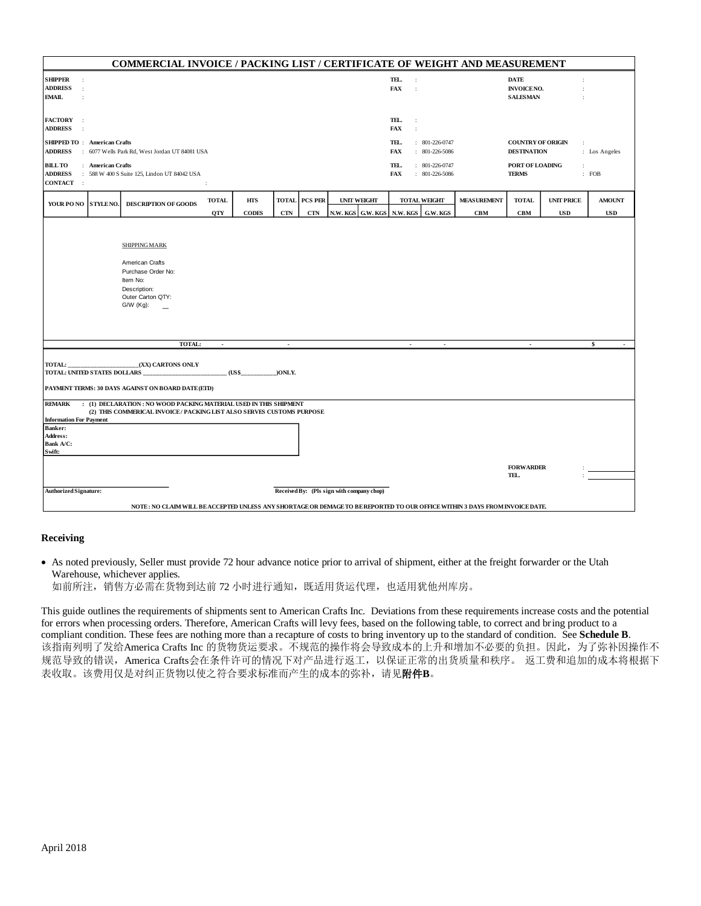| COMMERCIAL INVOICE / PACKING LIST / CERTIFICATE OF WEIGHT AND MEASUREMENT                                                            |                                                                                                    |                                                                                                                                              |                            |                            |            |                                    |                                         |                                      |                                                |                                  |                                                     |                                 |                             |
|--------------------------------------------------------------------------------------------------------------------------------------|----------------------------------------------------------------------------------------------------|----------------------------------------------------------------------------------------------------------------------------------------------|----------------------------|----------------------------|------------|------------------------------------|-----------------------------------------|--------------------------------------|------------------------------------------------|----------------------------------|-----------------------------------------------------|---------------------------------|-----------------------------|
| <b>SHIPPER</b><br>$\,$ .<br><b>ADDRESS</b><br>$\,$ .<br><b>EMAIL</b>                                                                 |                                                                                                    |                                                                                                                                              |                            |                            |            |                                    |                                         | TEL.<br><b>FAX</b>                   | $\ddot{\phantom{a}}$<br>$\ddot{\phantom{a}}$   |                                  | <b>DATE</b><br><b>INVOICENO.</b><br><b>SALESMAN</b> |                                 |                             |
| <b>FACTORY</b><br>$\cdot$<br><b>ADDRESS</b>                                                                                          |                                                                                                    |                                                                                                                                              |                            |                            |            |                                    |                                         | TEL.<br><b>FAX</b>                   | ÷<br>$\ddot{\phantom{a}}$                      |                                  |                                                     |                                 |                             |
| <b>SHIPPED TO: American Crafts</b><br><b>ADDRESS</b><br>: 6077 Wells Park Rd. West Jordan UT 84081 USA                               |                                                                                                    |                                                                                                                                              |                            |                            |            | TEL.<br><b>FAX</b>                 | $: 801-226-0747$<br>$: 801-226-5086$    |                                      | <b>COUNTRY OF ORIGIN</b><br><b>DESTINATION</b> | $\ddot{\phantom{a}}$             | : Los Angeles                                       |                                 |                             |
| <b>BILL TO</b><br><b>ADDRESS</b><br><b>CONTACT</b>                                                                                   | : American Crafts<br>: 588 W 400 S Suite 125, Lindon UT 84042 USA<br>$\rightarrow$<br>$\mathbf{r}$ |                                                                                                                                              |                            |                            |            |                                    | TEL.<br><b>FAX</b>                      | $: 801-226-0747$<br>$: 801-226-5086$ |                                                | PORT OF LOADING<br><b>TERMS</b>  | $\ddot{\phantom{a}}$                                | : FOB                           |                             |
| YOUR PO NO STYLE NO.                                                                                                                 |                                                                                                    | <b>DESCRIPTION OF GOODS</b>                                                                                                                  | <b>TOTAL</b><br><b>QTY</b> | <b>HTS</b><br><b>CODES</b> | <b>CTN</b> | <b>TOTAL PCS PER</b><br><b>CTN</b> | <b>UNIT WEIGHT</b><br>N.W. KGS G.W. KGS | N.W. KGS                             | <b>TOTAL WEIGHT</b><br>G.W. KGS                | <b>MEASUREMENT</b><br><b>CBM</b> | TOTAL<br>CBM                                        | <b>UNIT PRICE</b><br><b>USD</b> | <b>AMOUNT</b><br><b>USD</b> |
|                                                                                                                                      |                                                                                                    | <b>SHIPPING MARK</b><br>American Crafts<br>Purchase Order No:<br>Item No:<br>Description:<br>Outer Carton QTY:<br>$GW (Kg)$ :                |                            |                            |            |                                    |                                         |                                      |                                                |                                  |                                                     |                                 |                             |
|                                                                                                                                      |                                                                                                    | TOTAL:                                                                                                                                       |                            |                            | $\sim$     |                                    |                                         |                                      |                                                |                                  |                                                     |                                 | Ŝ.                          |
| TOTAL:<br>(XX) CARTONS ONLY<br>TOTAL: UNITED STATES DOLLARS<br>(US\$<br>)ONLY.<br>PAYMENT TERMS: 30 DAYS AGAINST ON BOARD DATE (ETD) |                                                                                                    |                                                                                                                                              |                            |                            |            |                                    |                                         |                                      |                                                |                                  |                                                     |                                 |                             |
| <b>REMARK</b><br><b>Information For Payment</b><br><b>Banker:</b><br>Address:<br>Bank A/C:<br>Swift:                                 |                                                                                                    | : (1) DECLARATION : NO WOOD PACKING MATERIAL USED IN THIS SHIPMENT<br>(2) THIS COMMERICAL INVOICE / PACKING LIST ALSO SERVES CUSTOMS PURPOSE |                            |                            |            |                                    |                                         |                                      |                                                |                                  | <b>FORWARDER</b>                                    |                                 |                             |
|                                                                                                                                      |                                                                                                    |                                                                                                                                              |                            |                            |            |                                    |                                         | TEL.                                 |                                                |                                  |                                                     |                                 |                             |
| Received By: (Pls sign with company chop)<br><b>Authorized Signature:</b>                                                            |                                                                                                    |                                                                                                                                              |                            |                            |            |                                    |                                         |                                      |                                                |                                  |                                                     |                                 |                             |
| NOTE: NO CLAIM WILL BE ACCEPTED UNLESS ANY SHORTAGE OR DEMAGE TO BE REPORTED TO OUR OFFICE WITHIN 3 DAYS FROM INVOICE DATE.          |                                                                                                    |                                                                                                                                              |                            |                            |            |                                    |                                         |                                      |                                                |                                  |                                                     |                                 |                             |

### **Receiving**

• As noted previously, Seller must provide 72 hour advance notice prior to arrival of shipment, either at the freight forwarder or the Utah Warehouse, whichever applies.

如前所注,销售方必需在货物到达前 72 小时进行通知,既适用货运代理,也适用犹他州库房。

This guide outlines the requirements of shipments sent to American Crafts Inc. Deviations from these requirements increase costs and the potential for errors when processing orders. Therefore, American Crafts will levy fees, based on the following table, to correct and bring product to a compliant condition. These fees are nothing more than a recapture of costs to bring inventory up to the standard of condition. See **Schedule B**. 该指南列明了发给America Crafts Inc 的货物货运要求。不规范的操作将会导致成本的上升和增加不必要的负担。因此, 为了弥补因操作不 规范导致的错误, America Crafts会在条件许可的情况下对产品进行返工, 以保证正常的出货质量和秩序。 返工费和追加的成本将根据下 表收取。该费用仅是对纠正货物以使之符合要求标准而产生的成本的弥补,请见附件B。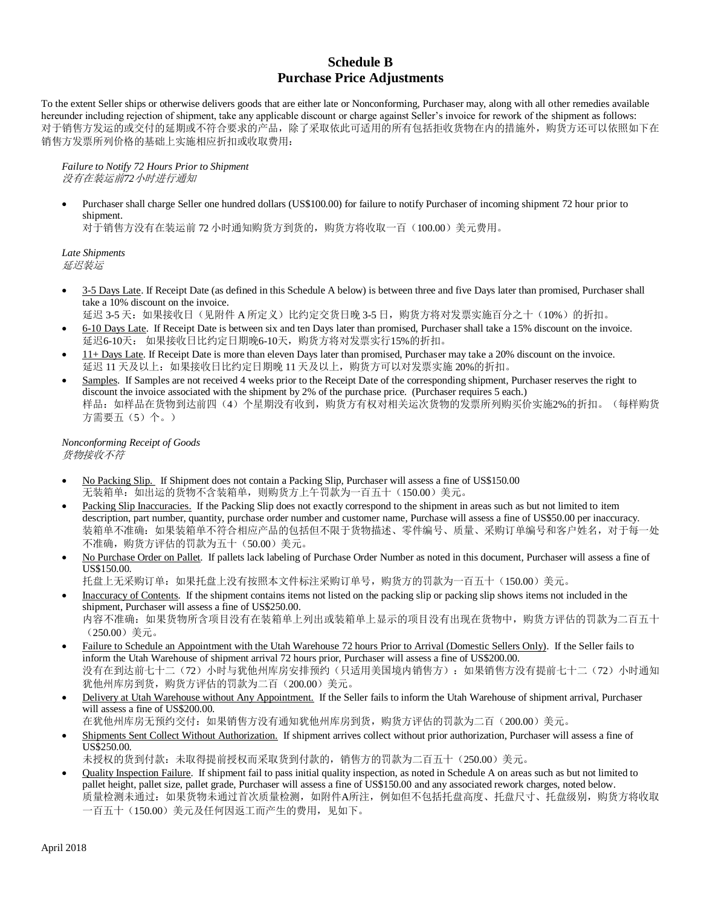# **Schedule B Purchase Price Adjustments**

To the extent Seller ships or otherwise delivers goods that are either late or Nonconforming, Purchaser may, along with all other remedies available hereunder including rejection of shipment, take any applicable discount or charge against Seller's invoice for rework of the shipment as follows: 对于销售方发运的或交付的延期或不符合要求的产品,除了采取依此可适用的所有包括拒收货物在内的措施外,购货方还可以依照如下在 销售方发票所列价格的基础上实施相应折扣或收取费用:

*Failure to Notify 72 Hours Prior to Shipment*  没有在装运前*72*小时进行通知

• Purchaser shall charge Seller one hundred dollars (US\$100.00) for failure to notify Purchaser of incoming shipment 72 hour prior to shipment.

对于销售方没有在装运前 72 小时通知购货方到货的,购货方将收取一百(100.00)美元费用。

*Late Shipments* 延迟装运

• 3-5 Days Late. If Receipt Date (as defined in this Schedule A below) is between three and five Days later than promised, Purchaser shall take a 10% discount on the invoice.

延迟 3-5 天: 如果接收日(见附件 A 所定义)比约定交货日晚 3-5 日, 购货方将对发票实施百分之十(10%)的折扣。

- 6-10 Days Late. If Receipt Date is between six and ten Days later than promised, Purchaser shall take a 15% discount on the invoice. 延迟6-10天: 如果接收日比约定日期晚6-10天,购货方将对发票实行15%的折扣。
- 11+ Days Late. If Receipt Date is more than eleven Days later than promised, Purchaser may take a 20% discount on the invoice. 延迟 11 天及以上:如果接收日比约定日期晚 11 天及以上,购货方可以对发票实施 20%的折扣。
- Samples. If Samples are not received 4 weeks prior to the Receipt Date of the corresponding shipment, Purchaser reserves the right to discount the invoice associated with the shipment by 2% of the purchase price. (Purchaser requires 5 each.) 样品:如样品在货物到达前四(4)个星期没有收到,购货方有权对相关运次货物的发票所列购买价实施2%的折扣。(每样购货 方需要五(5)个。)

*Nonconforming Receipt of Goods* 货物接收不符

- No Packing Slip. If Shipment does not contain a Packing Slip, Purchaser will assess a fine of US\$150.00 无装箱单: 如出运的货物不含装箱单, 则购货方上午罚款为一百五十(150.00)美元。
- Packing Slip Inaccuracies. If the Packing Slip does not exactly correspond to the shipment in areas such as but not limited to item description, part number, quantity, purchase order number and customer name, Purchase will assess a fine of US\$50.00 per inaccuracy. 装箱单不准确: 如果装箱单不符合相应产品的包括但不限于货物描述、零件编号、质量、采购订单编号和客户姓名, 对于每一处 不准确,购货方评估的罚款为五十(50.00)美元。
- No Purchase Order on Pallet. If pallets lack labeling of Purchase Order Number as noted in this document, Purchaser will assess a fine of US\$150.00.

托盘上无采购订单:如果托盘上没有按照本文件标注采购订单号,购货方的罚款为一百五十(150.00)美元。

- Inaccuracy of Contents. If the shipment contains items not listed on the packing slip or packing slip shows items not included in the shipment, Purchaser will assess a fine of US\$250.00. 内容不准确:如果货物所含项目没有在装箱单上列出或装箱单上显示的项目没有出现在货物中,购货方评估的罚款为二百五十 (250.00)美元。
- Failure to Schedule an Appointment with the Utah Warehouse 72 hours Prior to Arrival (Domestic Sellers Only). If the Seller fails to inform the Utah Warehouse of shipment arrival 72 hours prior, Purchaser will assess a fine of US\$200.00. 没有在到达前七十二(72)小时与犹他州库房安排预约(只适用美国境内销售方):如果销售方没有提前七十二(72)小时通知 犹他州库房到货,购货方评估的罚款为二百(200.00)美元。
- Delivery at Utah Warehouse without Any Appointment. If the Seller fails to inform the Utah Warehouse of shipment arrival, Purchaser will assess a fine of US\$200.00.

在犹他州库房无预约交付:如果销售方没有通知犹他州库房到货,购货方评估的罚款为二百(200.00)美元。

Shipments Sent Collect Without Authorization. If shipment arrives collect without prior authorization, Purchaser will assess a fine of US\$250.00.

未授权的货到付款:未取得提前授权而采取货到付款的,销售方的罚款为二百五十(250.00)美元。

• Quality Inspection Failure. If shipment fail to pass initial quality inspection, as noted in Schedule A on areas such as but not limited to pallet height, pallet size, pallet grade, Purchaser will assess a fine of US\$150.00 and any associated rework charges, noted below. 质量检测未通过:如果货物未通过首次质量检测,如附件A所注,例如但不包括托盘高度、托盘尺寸、托盘级别,购货方将收取 一百五十(150.00)美元及任何因返工而产生的费用,见如下。